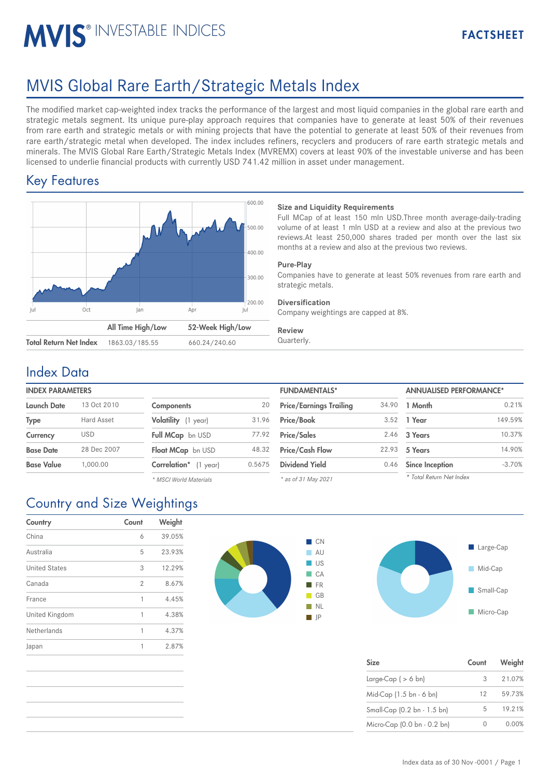# **MVIS® INVESTABLE INDICES**

# MVIS Global Rare Earth/Strategic Metals Index

The modified market cap-weighted index tracks the performance of the largest and most liquid companies in the global rare earth and strategic metals segment. Its unique pure-play approach requires that companies have to generate at least 50% of their revenues from rare earth and strategic metals or with mining projects that have the potential to generate at least 50% of their revenues from rare earth/strategic metal when developed. The index includes refiners, recyclers and producers of rare earth strategic metals and minerals. The MVIS Global Rare Earth/Strategic Metals Index (MVREMX) covers at least 90% of the investable universe and has been licensed to underlie financial products with currently USD 741.42 million in asset under management.

## Key Features



## **Size and Liquidity Requirements**

Full MCap of at least 150 mln USD.Three month average-daily-trading volume of at least 1 mln USD at a review and also at the previous two reviews.At least 250,000 shares traded per month over the last six months at a review and also at the previous two reviews.

## **Pure-Play**

Companies have to generate at least 50% revenues from rare earth and strategic metals.

## **Diversification**

Company weightings are capped at 8%.

### **Review**

Quarterly.

## Index Data

## **INDEX PARAMETERS**

| <b>Launch Date</b> | 13 Oct 2010 | Components               | 20     | <b>Price/Earnings Trailing</b> | 34.90 | 1 Month                |
|--------------------|-------------|--------------------------|--------|--------------------------------|-------|------------------------|
| <b>Type</b>        | Hard Asset  | Volatility (1 year)      | 31.96  | <b>Price/Book</b>              | 3.52  | 1 Year                 |
| Currency           | <b>USD</b>  | Full MCap bn USD         | 77.92  | <b>Price/Sales</b>             |       | 2.46 3 Years           |
| <b>Base Date</b>   | 28 Dec 2007 | Float MCap bn USD        | 48.32  | <b>Price/Cash Flow</b>         | 22.93 | 5 Years                |
| <b>Base Value</b>  | 1.000.00    | Correlation*<br>(1 year) | 0.5675 | <b>Dividend Yield</b>          | 0.46  | <b>Since Inception</b> |
|                    |             |                          |        |                                |       |                        |

| <b>Components</b>       | 20     |
|-------------------------|--------|
| Volatility (1 year)     | 31.96  |
| <b>Full MCap</b> bn USD | 77.92  |
| Float MCap bn USD       | 48.32  |
| Correlation* (1 year)   | 0.5675 |
| * MSCI World Materials  |        |

| <b>FUNDAMENTALS*</b>           |       | <b>ANNUALISED PERFORMANCE*</b> |          |  |
|--------------------------------|-------|--------------------------------|----------|--|
| <b>Price/Earnings Trailing</b> | 34.90 | 1 Month                        | 0.21%    |  |
| Price/Book                     | 3.52  | 1 Year                         | 149.59%  |  |
| <b>Price/Sales</b>             | 2.46  | 3 Years                        | 10.37%   |  |
| <b>Price/Cash Flow</b>         | 22.93 | 5 Years                        | 14.90%   |  |
| <b>Dividend Yield</b>          | 0.46  | <b>Since Inception</b>         | $-3.70%$ |  |
| $*$ as of 31 May 2021          |       | * Total Return Net Index       |          |  |

*\* as of 31 May 2021*

| Large-Cap     |
|---------------|
| Mid-Cap<br>h, |
| Small-Cap     |
| Micro-Cap     |

| <b>Size</b>                 | Count | Weight |
|-----------------------------|-------|--------|
| Large-Cap ( $> 6$ bn)       | 3     | 21.07% |
| Mid-Cap (1.5 bn - 6 bn)     | 12    | 59.73% |
| Small-Cap (0.2 bn - 1.5 bn) | 5     | 19.21% |
| Micro-Cap (0.0 bn - 0.2 bn) |       | 0.00%  |

# Country and Size Weightings

| Country              | Count | Weight |
|----------------------|-------|--------|
| China                | 6     | 39.05% |
| Australia            | 5     | 23.93% |
| <b>United States</b> | 3     | 12.29% |
| Canada               | 2     | 8.67%  |
| France               | 1     | 4.45%  |
| United Kingdom       | 1     | 4.38%  |
| Netherlands          | 1     | 4.37%  |
| Japan                | 1     | 2.87%  |